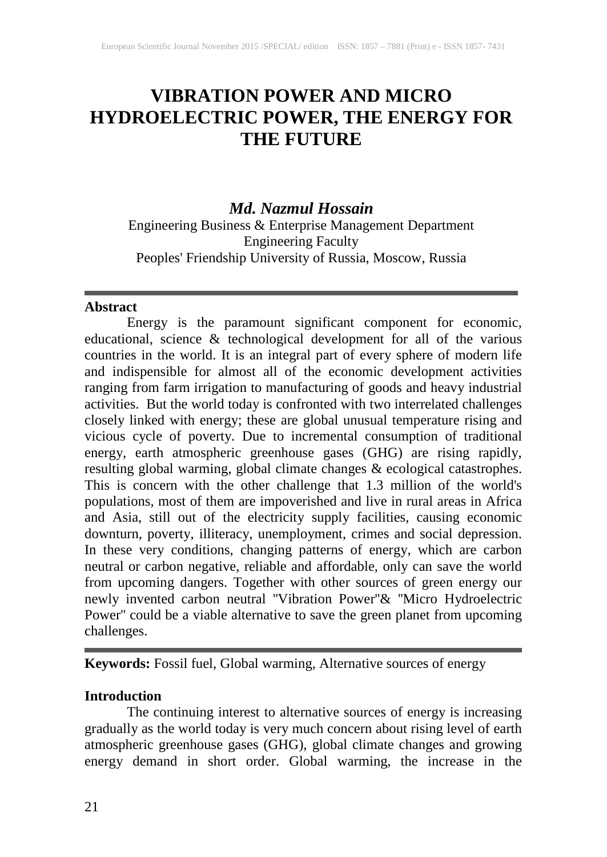# **VIBRATION POWER AND MICRO HYDROELECTRIC POWER, THE ENERGY FOR THE FUTURE**

# *Md. Nazmul Hossain*

Engineering Business & Enterprise Management Department Engineering Faculty Peoples' Friendship University of Russia, Moscow, Russia

#### **Abstract**

Energy is the paramount significant component for economic, educational, science & technological development for all of the various countries in the world. It is an integral part of every sphere of modern life and indispensible for almost all of the economic development activities ranging from farm irrigation to manufacturing of goods and heavy industrial activities. But the world today is confronted with two interrelated challenges closely linked with energy; these are global unusual temperature rising and vicious cycle of poverty. Due to incremental consumption of traditional energy, earth atmospheric greenhouse gases (GHG) are rising rapidly, resulting global warming, global climate changes & ecological catastrophes. This is concern with the other challenge that 1.3 million of the world's populations, most of them are impoverished and live in rural areas in Africa and Asia, still out of the electricity supply facilities, causing economic downturn, poverty, illiteracy, unemployment, crimes and social depression. In these very conditions, changing patterns of energy, which are carbon neutral or carbon negative, reliable and affordable, only can save the world from upcoming dangers. Together with other sources of green energy our newly invented carbon neutral ''Vibration Power''& ''Micro Hydroelectric Power'' could be a viable alternative to save the green planet from upcoming challenges.

**Keywords:** Fossil fuel, Global warming, Alternative sources of energy

## **Introduction**

The continuing interest to alternative sources of energy is increasing gradually as the world today is very much concern about rising level of earth atmospheric greenhouse gases (GHG), global climate changes and growing energy demand in short order. Global warming, the increase in the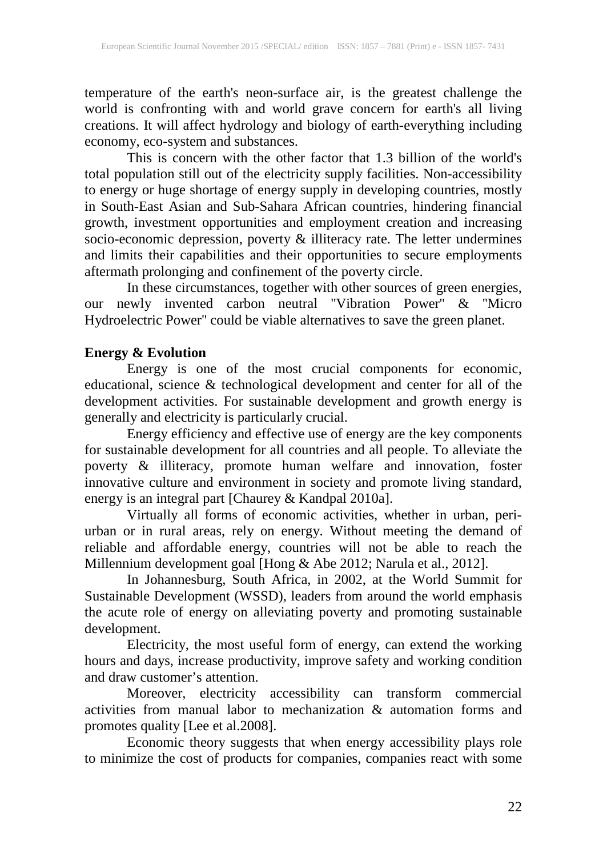temperature of the earth's neon-surface air, is the greatest challenge the world is confronting with and world grave concern for earth's all living creations. It will affect hydrology and biology of earth-everything including economy, eco-system and substances.

This is concern with the other factor that 1.3 billion of the world's total population still out of the electricity supply facilities. Non-accessibility to energy or huge shortage of energy supply in developing countries, mostly in South-East Asian and Sub-Sahara African countries, hindering financial growth, investment opportunities and employment creation and increasing socio-economic depression, poverty & illiteracy rate. The letter undermines and limits their capabilities and their opportunities to secure employments aftermath prolonging and confinement of the poverty circle.

In these circumstances, together with other sources of green energies, our newly invented carbon neutral ''Vibration Power'' & ''Micro Hydroelectric Power'' could be viable alternatives to save the green planet.

# **Energy & Evolution**

Energy is one of the most crucial components for economic, educational, science & technological development and center for all of the development activities. For sustainable development and growth energy is generally and electricity is particularly crucial.

Energy efficiency and effective use of energy are the key components for sustainable development for all countries and all people. To alleviate the poverty & illiteracy, promote human welfare and innovation, foster innovative culture and environment in society and promote living standard, energy is an integral part [Chaurey & Kandpal 2010a].

Virtually all forms of economic activities, whether in urban, periurban or in rural areas, rely on energy. Without meeting the demand of reliable and affordable energy, countries will not be able to reach the Millennium development goal [Hong & Abe 2012; Narula et al., 2012].

In Johannesburg, South Africa, in 2002, at the World Summit for Sustainable Development (WSSD), leaders from around the world emphasis the acute role of energy on alleviating poverty and promoting sustainable development.

Electricity, the most useful form of energy, can extend the working hours and days, increase productivity, improve safety and working condition and draw customer's attention.

Moreover, electricity accessibility can transform commercial activities from manual labor to mechanization & automation forms and promotes quality [Lee et al.2008].

Economic theory suggests that when energy accessibility plays role to minimize the cost of products for companies, companies react with some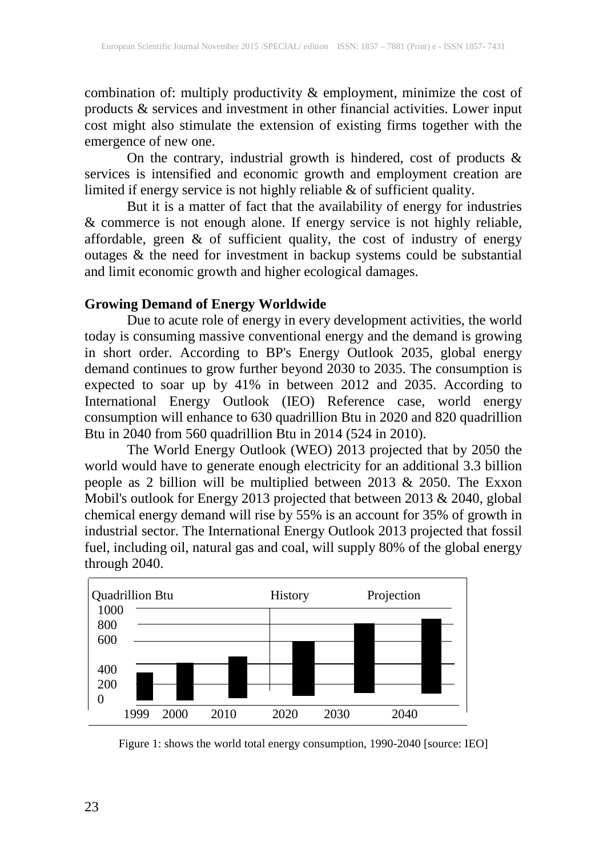combination of: multiply productivity & employment, minimize the cost of products & services and investment in other financial activities. Lower input cost might also stimulate the extension of existing firms together with the emergence of new one.

On the contrary, industrial growth is hindered, cost of products & services is intensified and economic growth and employment creation are limited if energy service is not highly reliable & of sufficient quality.

But it is a matter of fact that the availability of energy for industries & commerce is not enough alone. If energy service is not highly reliable, affordable, green & of sufficient quality, the cost of industry of energy outages & the need for investment in backup systems could be substantial and limit economic growth and higher ecological damages.

## **Growing Demand of Energy Worldwide**

Due to acute role of energy in every development activities, the world today is consuming massive conventional energy and the demand is growing in short order. According to BP's Energy Outlook 2035, global energy demand continues to grow further beyond 2030 to 2035. The consumption is expected to soar up by 41% in between 2012 and 2035. According to International Energy Outlook (IEO) Reference case, world energy consumption will enhance to 630 quadrillion Btu in 2020 and 820 quadrillion Btu in 2040 from 560 quadrillion Btu in 2014 (524 in 2010).

The World Energy Outlook (WEO) 2013 projected that by 2050 the world would have to generate enough electricity for an additional 3.3 billion people as 2 billion will be multiplied between 2013 & 2050. The Exxon Mobil's outlook for Energy 2013 projected that between 2013 & 2040, global chemical energy demand will rise by 55% is an account for 35% of growth in industrial sector. The International Energy Outlook 2013 projected that fossil fuel, including oil, natural gas and coal, will supply 80% of the global energy through 2040.



Figure 1: shows the world total energy consumption, 1990-2040 [source: IEO]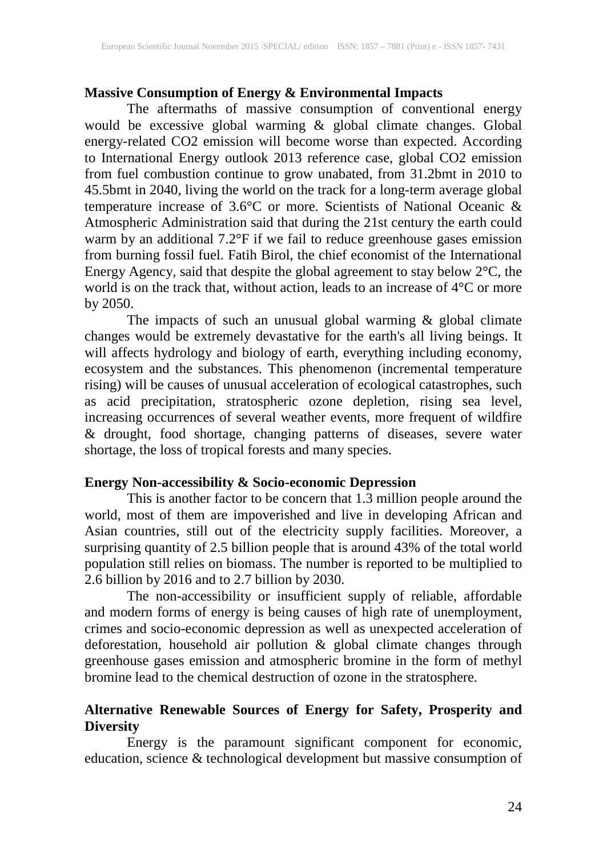## **Massive Consumption of Energy & Environmental Impacts**

The aftermaths of massive consumption of conventional energy would be excessive global warming & global climate changes. Global energy-related CO2 emission will become worse than expected. According to International Energy outlook 2013 reference case, global CO2 emission from fuel combustion continue to grow unabated, from 31.2bmt in 2010 to 45.5bmt in 2040, living the world on the track for a long-term average global temperature increase of 3.6°C or more. Scientists of National Oceanic & Atmospheric Administration said that during the 21st century the earth could warm by an additional 7.2°F if we fail to reduce greenhouse gases emission from burning fossil fuel. Fatih Birol, the chief economist of the International Energy Agency, said that despite the global agreement to stay below 2°C, the world is on the track that, without action, leads to an increase of 4°C or more by 2050.

The impacts of such an unusual global warming & global climate changes would be extremely devastative for the earth's all living beings. It will affects hydrology and biology of earth, everything including economy, ecosystem and the substances. This phenomenon (incremental temperature rising) will be causes of unusual acceleration of ecological catastrophes, such as acid precipitation, stratospheric ozone depletion, rising sea level, increasing occurrences of several weather events, more frequent of wildfire & drought, food shortage, changing patterns of diseases, severe water shortage, the loss of tropical forests and many species.

#### **Energy Non-accessibility & Socio-economic Depression**

This is another factor to be concern that 1.3 million people around the world, most of them are impoverished and live in developing African and Asian countries, still out of the electricity supply facilities. Moreover, a surprising quantity of 2.5 billion people that is around 43% of the total world population still relies on biomass. The number is reported to be multiplied to 2.6 billion by 2016 and to 2.7 billion by 2030.

The non-accessibility or insufficient supply of reliable, affordable and modern forms of energy is being causes of high rate of unemployment, crimes and socio-economic depression as well as unexpected acceleration of deforestation, household air pollution & global climate changes through greenhouse gases emission and atmospheric bromine in the form of methyl bromine lead to the chemical destruction of ozone in the stratosphere.

# **Alternative Renewable Sources of Energy for Safety, Prosperity and Diversity**

Energy is the paramount significant component for economic, education, science & technological development but massive consumption of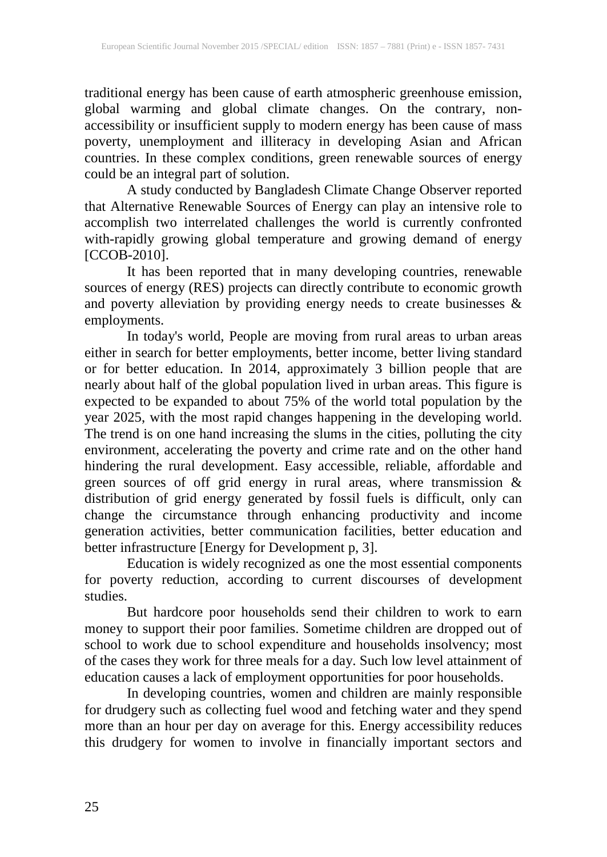traditional energy has been cause of earth atmospheric greenhouse emission, global warming and global climate changes. On the contrary, nonaccessibility or insufficient supply to modern energy has been cause of mass poverty, unemployment and illiteracy in developing Asian and African countries. In these complex conditions, green renewable sources of energy could be an integral part of solution.

A study conducted by Bangladesh Climate Change Observer reported that Alternative Renewable Sources of Energy can play an intensive role to accomplish two interrelated challenges the world is currently confronted with-rapidly growing global temperature and growing demand of energy [CCOB-2010].

It has been reported that in many developing countries, renewable sources of energy (RES) projects can directly contribute to economic growth and poverty alleviation by providing energy needs to create businesses & employments.

In today's world, People are moving from rural areas to urban areas either in search for better employments, better income, better living standard or for better education. In 2014, approximately 3 billion people that are nearly about half of the global population lived in urban areas. This figure is expected to be expanded to about 75% of the world total population by the year 2025, with the most rapid changes happening in the developing world. The trend is on one hand increasing the slums in the cities, polluting the city environment, accelerating the poverty and crime rate and on the other hand hindering the rural development. Easy accessible, reliable, affordable and green sources of off grid energy in rural areas, where transmission & distribution of grid energy generated by fossil fuels is difficult, only can change the circumstance through enhancing productivity and income generation activities, better communication facilities, better education and better infrastructure [Energy for Development p, 3].

Education is widely recognized as one the most essential components for poverty reduction, according to current discourses of development studies.

But hardcore poor households send their children to work to earn money to support their poor families. Sometime children are dropped out of school to work due to school expenditure and households insolvency; most of the cases they work for three meals for a day. Such low level attainment of education causes a lack of employment opportunities for poor households.

In developing countries, women and children are mainly responsible for drudgery such as collecting fuel wood and fetching water and they spend more than an hour per day on average for this. Energy accessibility reduces this drudgery for women to involve in financially important sectors and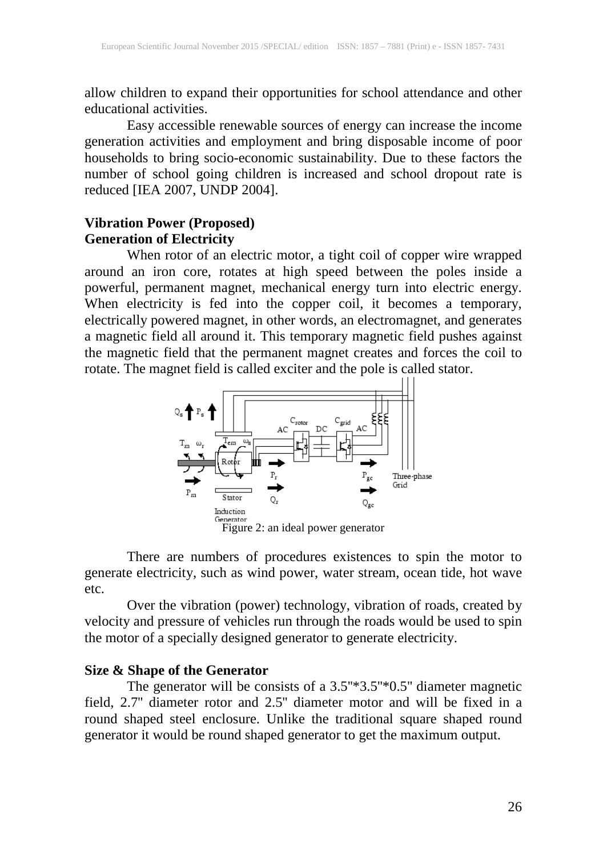allow children to expand their opportunities for school attendance and other educational activities.

Easy accessible renewable sources of energy can increase the income generation activities and employment and bring disposable income of poor households to bring socio-economic sustainability. Due to these factors the number of school going children is increased and school dropout rate is reduced [IEA 2007, UNDP 2004].

# **Vibration Power (Proposed) Generation of Electricity**

When rotor of an electric motor, a tight coil of copper wire wrapped around an iron core, rotates at high speed between the poles inside a powerful, permanent magnet, mechanical energy turn into electric energy. When electricity is fed into the copper coil, it becomes a temporary, electrically powered magnet, in other words, an electromagnet, and generates a magnetic field all around it. This temporary magnetic field pushes against the magnetic field that the permanent magnet creates and forces the coil to rotate. The magnet field is called exciter and the pole is called stator.



There are numbers of procedures existences to spin the motor to generate electricity, such as wind power, water stream, ocean tide, hot wave etc.

Over the vibration (power) technology, vibration of roads, created by velocity and pressure of vehicles run through the roads would be used to spin the motor of a specially designed generator to generate electricity.

#### **Size & Shape of the Generator**

The generator will be consists of a 3.5"\*3.5"\*0.5" diameter magnetic field, 2.7'' diameter rotor and 2.5'' diameter motor and will be fixed in a round shaped steel enclosure. Unlike the traditional square shaped round generator it would be round shaped generator to get the maximum output.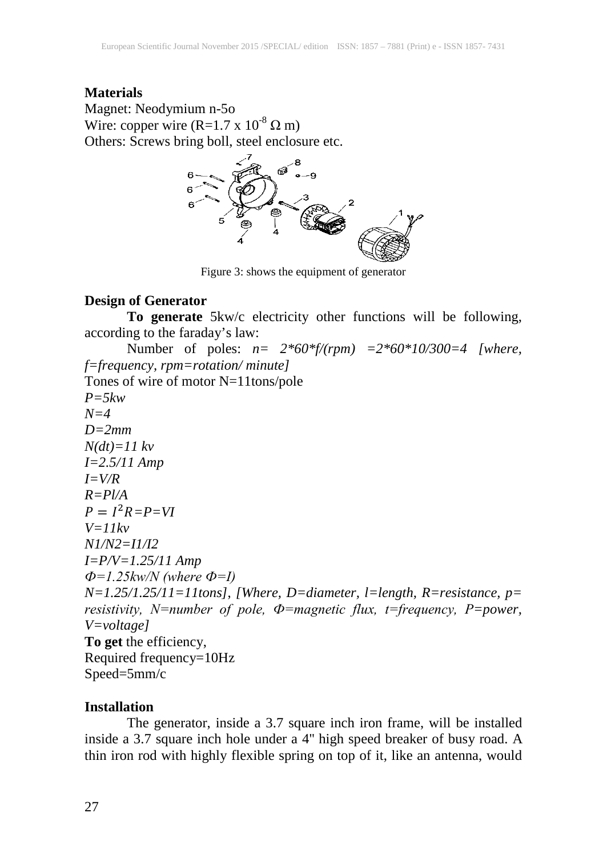#### **Materials**

Magnet: Neodymium n-5o Wire: copper wire (R=1.7 x  $10^{-8} \Omega$  m) Others: Screws bring boll, steel enclosure etc.



Figure 3: shows the equipment of generator

# **Design of Generator**

**To generate** 5kw/c electricity other functions will be following, according to the faraday's law:

Number of poles: *n= 2\*60\*f/(rpm) =2\*60\*10/300=4 [where, f=frequency, rpm=rotation/ minute]* Tones of wire of motor N=11tons/pole *P=5kw N=4 D=2mm N(dt)=11 kv I=2.5/11 Amp I=V/R R=Pl/A*  $P = I^2 R = P = VI$ *V=11kv N1/N2=I1/I2 I=P/V=1.25/11 Amp Ф=1.25kw/N (where Ф=I) N=1.25/1.25/11=11tons]*, *[Where, D=diameter, l=length, R=resistance, p= resistivity, N=number of pole, Ф=magnetic flux, t=frequency, P=power, V=voltage]* **To get** the efficiency, Required frequency=10Hz Speed=5mm/c

#### **Installation**

The generator, inside a 3.7 square inch iron frame, will be installed inside a 3.7 square inch hole under a 4'' high speed breaker of busy road. A thin iron rod with highly flexible spring on top of it, like an antenna, would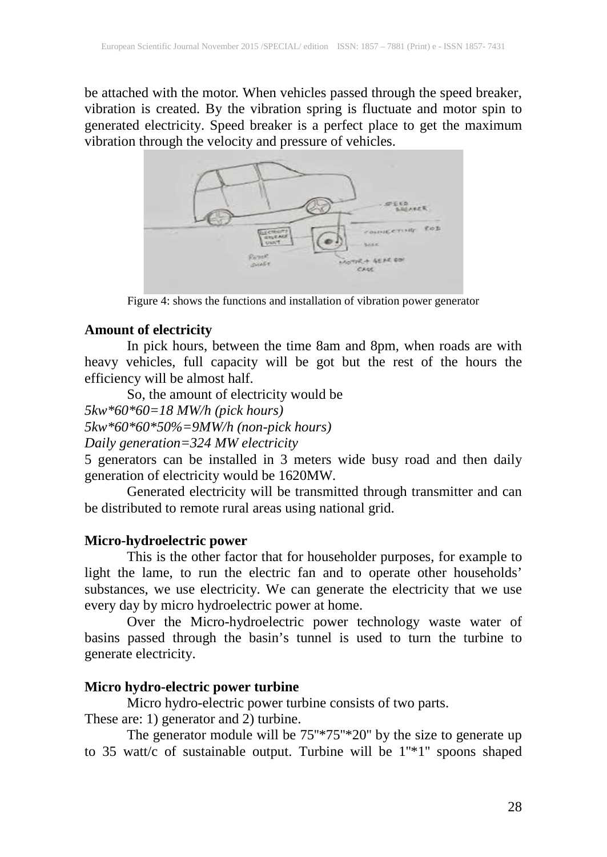be attached with the motor. When vehicles passed through the speed breaker, vibration is created. By the vibration spring is fluctuate and motor spin to generated electricity. Speed breaker is a perfect place to get the maximum vibration through the velocity and pressure of vehicles.



Figure 4: shows the functions and installation of vibration power generator

## **Amount of electricity**

In pick hours, between the time 8am and 8pm, when roads are with heavy vehicles, full capacity will be got but the rest of the hours the efficiency will be almost half.

So, the amount of electricity would be

*5kw\*60\*60=18 MW/h (pick hours)*

*5kw\*60\*60\*50%=9MW/h (non-pick hours)*

*Daily generation=324 MW electricity*

5 generators can be installed in 3 meters wide busy road and then daily generation of electricity would be 1620MW*.* 

Generated electricity will be transmitted through transmitter and can be distributed to remote rural areas using national grid.

# **Micro-hydroelectric power**

This is the other factor that for householder purposes, for example to light the lame, to run the electric fan and to operate other households' substances, we use electricity. We can generate the electricity that we use every day by micro hydroelectric power at home.

Over the Micro-hydroelectric power technology waste water of basins passed through the basin's tunnel is used to turn the turbine to generate electricity.

# **Micro hydro-electric power turbine**

Micro hydro-electric power turbine consists of two parts.

These are: 1) generator and 2) turbine.

The generator module will be  $75"*75"*20"$  by the size to generate up to 35 watt/c of sustainable output. Turbine will be 1''\*1'' spoons shaped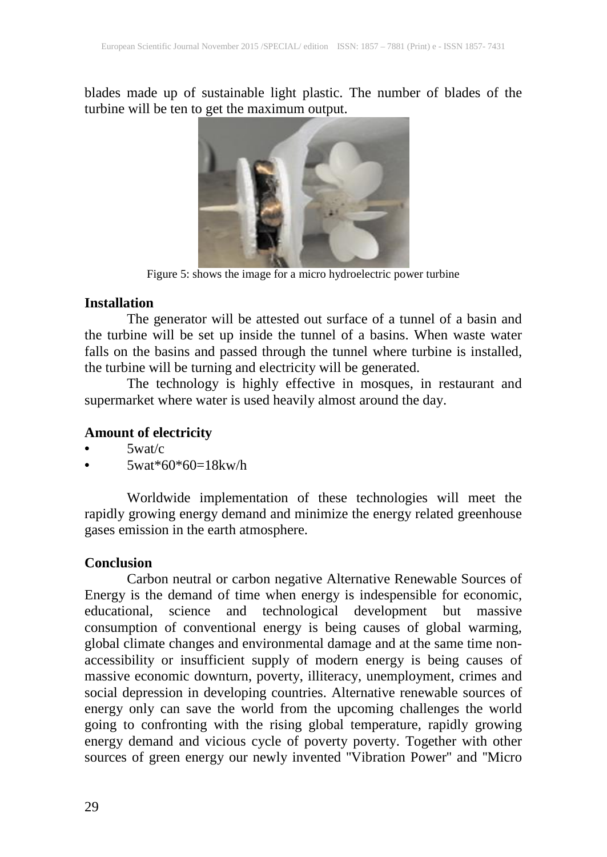blades made up of sustainable light plastic. The number of blades of the turbine will be ten to get the maximum output.



Figure 5: shows the image for a micro hydroelectric power turbine

#### **Installation**

The generator will be attested out surface of a tunnel of a basin and the turbine will be set up inside the tunnel of a basins. When waste water falls on the basins and passed through the tunnel where turbine is installed, the turbine will be turning and electricity will be generated.

The technology is highly effective in mosques, in restaurant and supermarket where water is used heavily almost around the day.

## **Amount of electricity**

- $5$ wat/ $c$
- 5wat\*60\*60=18kw/h

Worldwide implementation of these technologies will meet the rapidly growing energy demand and minimize the energy related greenhouse gases emission in the earth atmosphere.

# **Conclusion**

Carbon neutral or carbon negative Alternative Renewable Sources of Energy is the demand of time when energy is indespensible for economic, educational, science and technological development but massive consumption of conventional energy is being causes of global warming, global climate changes and environmental damage and at the same time nonaccessibility or insufficient supply of modern energy is being causes of massive economic downturn, poverty, illiteracy, unemployment, crimes and social depression in developing countries. Alternative renewable sources of energy only can save the world from the upcoming challenges the world going to confronting with the rising global temperature, rapidly growing energy demand and vicious cycle of poverty poverty. Together with other sources of green energy our newly invented ''Vibration Power'' and ''Micro